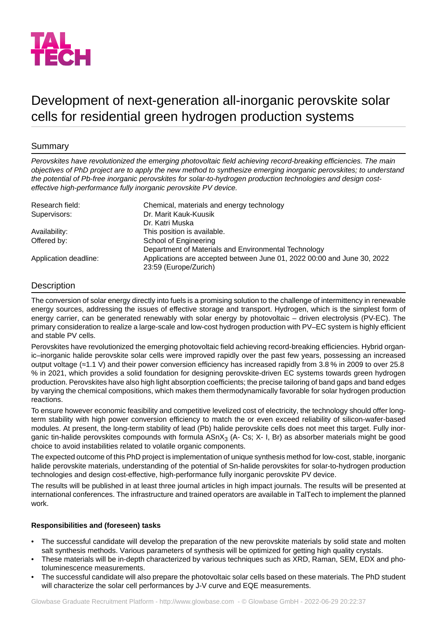

# Development of next-generation all-inorganic perovskite solar cells for residential green hydrogen production systems

# Summary

*Perovskites have revolutionized the emerging photovoltaic field achieving record-breaking efficiencies. The main objectives of PhD project are to apply the new method to synthesize emerging inorganic perovskites; to understand the potential of Pb-free inorganic perovskites for solar-to-hydrogen production technologies and design costeffective high-performance fully inorganic perovskite PV device.*

| Research field:       | Chemical, materials and energy technology                                                        |
|-----------------------|--------------------------------------------------------------------------------------------------|
| Supervisors:          | Dr. Marit Kauk-Kuusik                                                                            |
|                       | Dr. Katri Muska                                                                                  |
| Availability:         | This position is available.                                                                      |
| Offered by:           | School of Engineering                                                                            |
|                       | Department of Materials and Environmental Technology                                             |
| Application deadline: | Applications are accepted between June 01, 2022 00:00 and June 30, 2022<br>23:59 (Europe/Zurich) |

# **Description**

The conversion of solar energy directly into fuels is a promising solution to the challenge of intermittency in renewable energy sources, addressing the issues of effective storage and transport. Hydrogen, which is the simplest form of energy carrier, can be generated renewably with solar energy by photovoltaic – driven electrolysis (PV-EC). The primary consideration to realize a large-scale and low-cost hydrogen production with PV–EC system is highly efficient and stable PV cells.

Perovskites have revolutionized the emerging photovoltaic field achieving record-breaking efficiencies. Hybrid organic–inorganic halide perovskite solar cells were improved rapidly over the past few years, possessing an increased output voltage (≈1.1 V) and their power conversion efficiency has increased rapidly from 3.8 % in 2009 to over 25.8 % in 2021, which provides a solid foundation for designing perovskite-driven EC systems towards green hydrogen production. Perovskites have also high light absorption coefficients; the precise tailoring of band gaps and band edges by varying the chemical compositions, which makes them thermodynamically favorable for solar hydrogen production reactions.

To ensure however economic feasibility and competitive levelized cost of electricity, the technology should offer longterm stability with high power conversion efficiency to match the or even exceed reliability of silicon-wafer-based modules. At present, the long-term stability of lead (Pb) halide perovskite cells does not meet this target. Fully inorganic tin-halide perovskites compounds with formula ASnX<sub>3</sub> (A- Cs; X- I, Br) as absorber materials might be good choice to avoid instabilities related to volatile organic components.

The expected outcome of this PhD project is implementation of unique synthesis method for low-cost, stable, inorganic halide perovskite materials, understanding of the potential of Sn-halide perovskites for solar-to-hydrogen production technologies and design cost-effective, high-performance fully inorganic perovskite PV device.

The results will be published in at least three journal articles in high impact journals. The results will be presented at international conferences. The infrastructure and trained operators are available in TalTech to implement the planned work.

## **Responsibilities and (foreseen) tasks**

- The successful candidate will develop the preparation of the new perovskite materials by solid state and molten salt synthesis methods. Various parameters of synthesis will be optimized for getting high quality crystals.
- These materials will be in-depth characterized by various techniques such as XRD, Raman, SEM, EDX and photoluminescence measurements.
- The successful candidate will also prepare the photovoltaic solar cells based on these materials. The PhD student will characterize the solar cell performances by J-V curve and EQE measurements.